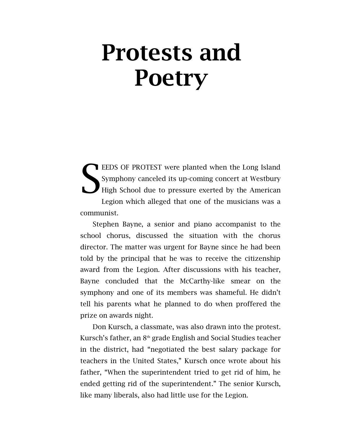## Protests and **Poetry**

EEDS OF PROTEST were planted when the Long Island Symphony canceled its up-coming concert at Westbury High School due to pressure exerted by the American Legion which alleged that one of the musicians was a communist. S

Stephen Bayne, a senior and piano accompanist to the school chorus, discussed the situation with the chorus director. The matter was urgent for Bayne since he had been told by the principal that he was to receive the citizenship award from the Legion. After discussions with his teacher, Bayne concluded that the McCarthy-like smear on the symphony and one of its members was shameful. He didn't tell his parents what he planned to do when proffered the prize on awards night.

Don Kursch, a classmate, was also drawn into the protest. Kursch's father, an  $8<sup>th</sup>$  grade English and Social Studies teacher in the district, had "negotiated the best salary package for teachers in the United States," Kursch once wrote about his father, "When the superintendent tried to get rid of him, he ended getting rid of the superintendent." The senior Kursch, like many liberals, also had little use for the Legion.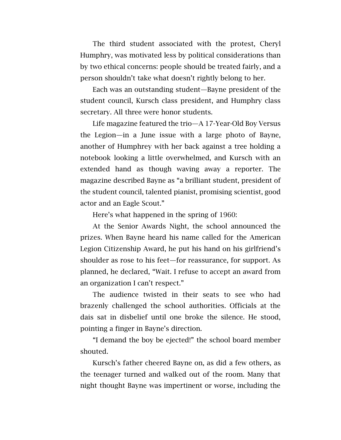The third student associated with the protest, Cheryl Humphry, was motivated less by political considerations than by two ethical concerns: people should be treated fairly, and a person shouldn't take what doesn't rightly belong to her.

Each was an outstanding student—Bayne president of the student council, Kursch class president, and Humphry class secretary. All three were honor students.

Life magazine featured the trio—A 17-Year-Old Boy Versus the Legion—in a June issue with a large photo of Bayne, another of Humphrey with her back against a tree holding a notebook looking a little overwhelmed, and Kursch with an extended hand as though waving away a reporter. The magazine described Bayne as "a brilliant student, president of the student council, talented pianist, promising scientist, good actor and an Eagle Scout."

Here's what happened in the spring of 1960:

At the Senior Awards Night, the school announced the prizes. When Bayne heard his name called for the American Legion Citizenship Award, he put his hand on his girlfriend's shoulder as rose to his feet—for reassurance, for support. As planned, he declared, "Wait. I refuse to accept an award from an organization I can't respect."

The audience twisted in their seats to see who had brazenly challenged the school authorities. Officials at the dais sat in disbelief until one broke the silence. He stood, pointing a finger in Bayne's direction.

"I demand the boy be ejected!" the school board member shouted.

Kursch's father cheered Bayne on, as did a few others, as the teenager turned and walked out of the room. Many that night thought Bayne was impertinent or worse, including the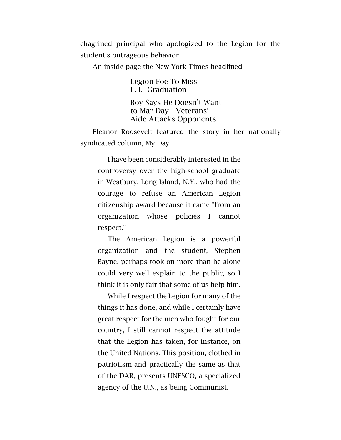chagrined principal who apologized to the Legion for the student's outrageous behavior.

An inside page the New York Times headlined—

Legion Foe To Miss L. I. Graduation Boy Says He Doesn't Want to Mar Day—Veterans' Aide Attacks Opponents

Eleanor Roosevelt featured the story in her nationally syndicated column, My Day.

I have been considerably interested in the controversy over the high-school graduate in Westbury, Long Island, N.Y., who had the courage to refuse an American Legion citizenship award because it came "from an organization whose policies I cannot respect."

The American Legion is a powerful organization and the student, Stephen Bayne, perhaps took on more than he alone could very well explain to the public, so I think it is only fair that some of us help him.

While I respect the Legion for many of the things it has done, and while I certainly have great respect for the men who fought for our country, I still cannot respect the attitude that the Legion has taken, for instance, on the United Nations. This position, clothed in patriotism and practically the same as that of the DAR, presents UNESCO, a specialized agency of the U.N., as being Communist.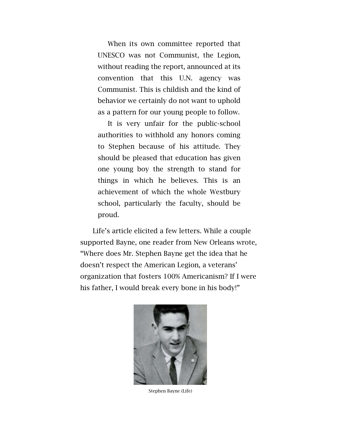When its own committee reported that UNESCO was not Communist, the Legion, without reading the report, announced at its convention that this U.N. agency was Communist. This is childish and the kind of behavior we certainly do not want to uphold as a pattern for our young people to follow.

It is very unfair for the public-school authorities to withhold any honors coming to Stephen because of his attitude. They should be pleased that education has given one young boy the strength to stand for things in which he believes. This is an achievement of which the whole Westbury school, particularly the faculty, should be proud.

Life's article elicited a few letters. While a couple supported Bayne, one reader from New Orleans wrote, "Where does Mr. Stephen Bayne get the idea that he doesn't respect the American Legion, a veterans' organization that fosters 100% Americanism? If I were his father, I would break every bone in his body!"



Stephen Bayne (Life)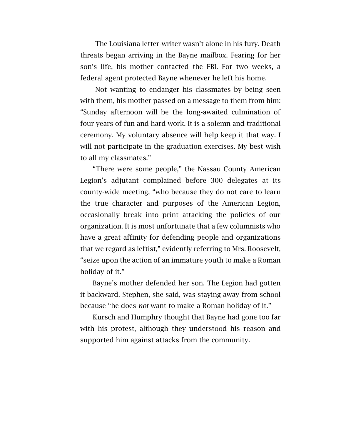The Louisiana letter-writer wasn't alone in his fury. Death threats began arriving in the Bayne mailbox. Fearing for her son's life, his mother contacted the FBI. For two weeks, a federal agent protected Bayne whenever he left his home.

Not wanting to endanger his classmates by being seen with them, his mother passed on a message to them from him: "Sunday afternoon will be the long-awaited culmination of four years of fun and hard work. It is a solemn and traditional ceremony. My voluntary absence will help keep it that way. I will not participate in the graduation exercises. My best wish to all my classmates."

"There were some people," the Nassau County American Legion's adjutant complained before 300 delegates at its county-wide meeting, "who because they do not care to learn the true character and purposes of the American Legion, occasionally break into print attacking the policies of our organization. It is most unfortunate that a few columnists who have a great affinity for defending people and organizations that we regard as leftist," evidently referring to Mrs. Roosevelt, "seize upon the action of an immature youth to make a Roman holiday of it."

Bayne's mother defended her son. The Legion had gotten it backward. Stephen, she said, was staying away from school because "he does *not* want to make a Roman holiday of it."

Kursch and Humphry thought that Bayne had gone too far with his protest, although they understood his reason and supported him against attacks from the community.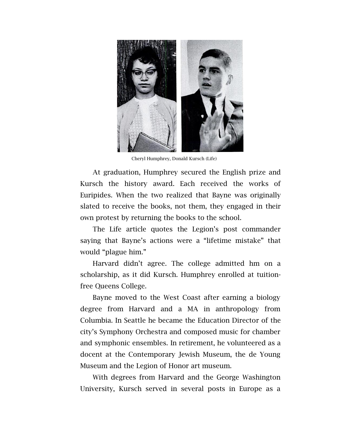

Cheryl Humphrey, Donald Kursch (Life)

At graduation, Humphrey secured the English prize and Kursch the history award. Each received the works of Euripides. When the two realized that Bayne was originally slated to receive the books, not them, they engaged in their own protest by returning the books to the school.

The Life article quotes the Legion's post commander saying that Bayne's actions were a "lifetime mistake" that would "plague him."

Harvard didn't agree. The college admitted hm on a scholarship, as it did Kursch. Humphrey enrolled at tuitionfree Queens College.

Bayne moved to the West Coast after earning a biology degree from Harvard and a MA in anthropology from Columbia. In Seattle he became the Education Director of the city's Symphony Orchestra and composed music for chamber and symphonic ensembles. In retirement, he volunteered as a docent at the Contemporary Jewish Museum, the de Young Museum and the Legion of Honor art museum.

With degrees from Harvard and the George Washington University, Kursch served in several posts in Europe as a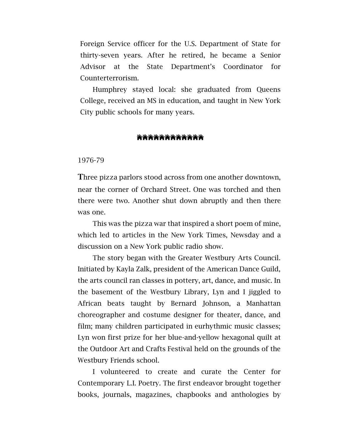Foreign Service officer for the U.S. Department of State for thirty-seven years. After he retired, he became a Senior Advisor at the State Department's Coordinator for Counterterrorism.

Humphrey stayed local: she graduated from Queens College, received an MS in education, and taught in New York City public schools for many years.

## **````````````````````````**

1976-79

Three pizza parlors stood across from one another downtown, near the corner of Orchard Street. One was torched and then there were two. Another shut down abruptly and then there was one.

This was the pizza war that inspired a short poem of mine, which led to articles in the New York Times, Newsday and a discussion on a New York public radio show.

The story began with the Greater Westbury Arts Council. Initiated by Kayla Zalk, president of the American Dance Guild, the arts council ran classes in pottery, art, dance, and music. In the basement of the Westbury Library, Lyn and I jiggled to African beats taught by Bernard Johnson, a Manhattan choreographer and costume designer for theater, dance, and film; many children participated in eurhythmic music classes; Lyn won first prize for her blue-and-yellow hexagonal quilt at the Outdoor Art and Crafts Festival held on the grounds of the Westbury Friends school.

I volunteered to create and curate the Center for Contemporary L.I. Poetry. The first endeavor brought together books, journals, magazines, chapbooks and anthologies by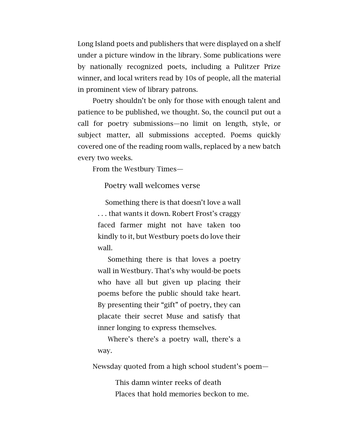Long Island poets and publishers that were displayed on a shelf under a picture window in the library. Some publications were by nationally recognized poets, including a Pulitzer Prize winner, and local writers read by 10s of people, all the material in prominent view of library patrons.

Poetry shouldn't be only for those with enough talent and patience to be published, we thought. So, the council put out a call for poetry submissions—no limit on length, style, or subject matter, all submissions accepted. Poems quickly covered one of the reading room walls, replaced by a new batch every two weeks.

From the Westbury Times—

Poetry wall welcomes verse

Something there is that doesn't love a wall . . . that wants it down. Robert Frost's craggy faced farmer might not have taken too kindly to it, but Westbury poets do love their wall.

Something there is that loves a poetry wall in Westbury. That's why would-be poets who have all but given up placing their poems before the public should take heart. By presenting their "gift" of poetry, they can placate their secret Muse and satisfy that inner longing to express themselves.

Where's there's a poetry wall, there's a way.

Newsday quoted from a high school student's poem—

This damn winter reeks of death Places that hold memories beckon to me.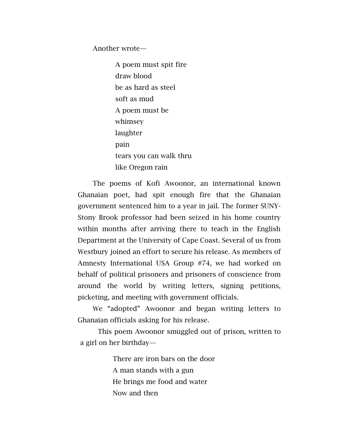Another wrote—

A poem must spit fire draw blood be as hard as steel soft as mud A poem must be whimsey laughter pain tears you can walk thru like Oregon rain

The poems of Kofi Awoonor, an international known Ghanaian poet, had spit enough fire that the Ghanaian government sentenced him to a year in jail. The former SUNY-Stony Brook professor had been seized in his home country within months after arriving there to teach in the English Department at the University of Cape Coast. Several of us from Westbury joined an effort to secure his release. As members of Amnesty International USA Group #74, we had worked on behalf of political prisoners and prisoners of conscience from around the world by writing letters, signing petitions, picketing, and meeting with government officials.

We "adopted" Awoonor and began writing letters to Ghanaian officials asking for his release.

This poem Awoonor smuggled out of prison, written to a girl on her birthday—

> There are iron bars on the door A man stands with a gun He brings me food and water Now and then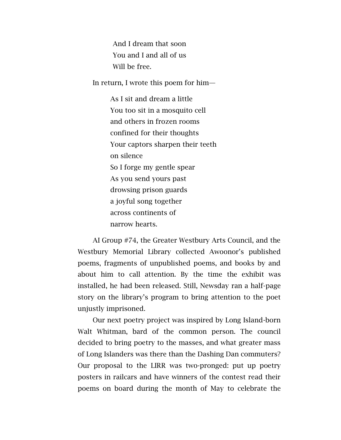And I dream that soon You and I and all of us Will be free.

In return, I wrote this poem for him—

As I sit and dream a little You too sit in a mosquito cell and others in frozen rooms confined for their thoughts Your captors sharpen their teeth on silence So I forge my gentle spear As you send yours past drowsing prison guards a joyful song together across continents of narrow hearts.

AI Group #74, the Greater Westbury Arts Council, and the Westbury Memorial Library collected Awoonor's published poems, fragments of unpublished poems, and books by and about him to call attention. By the time the exhibit was installed, he had been released. Still, Newsday ran a half-page story on the library's program to bring attention to the poet unjustly imprisoned.

Our next poetry project was inspired by Long Island-born Walt Whitman, bard of the common person. The council decided to bring poetry to the masses, and what greater mass of Long Islanders was there than the Dashing Dan commuters? Our proposal to the LIRR was two-pronged: put up poetry posters in railcars and have winners of the contest read their poems on board during the month of May to celebrate the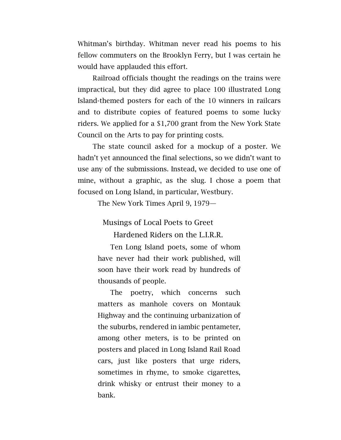Whitman's birthday. Whitman never read his poems to his fellow commuters on the Brooklyn Ferry, but I was certain he would have applauded this effort.

Railroad officials thought the readings on the trains were impractical, but they did agree to place 100 illustrated Long Island-themed posters for each of the 10 winners in railcars and to distribute copies of featured poems to some lucky riders. We applied for a \$1,700 grant from the New York State Council on the Arts to pay for printing costs.

The state council asked for a mockup of a poster. We hadn't yet announced the final selections, so we didn't want to use any of the submissions. Instead, we decided to use one of mine, without a graphic, as the slug. I chose a poem that focused on Long Island, in particular, Westbury.

The New York Times April 9, 1979—

Musings of Local Poets to Greet

Hardened Riders on the L.I.R.R.

Ten Long Island poets, some of whom have never had their work published, will soon have their work read by hundreds of thousands of people.

The poetry, which concerns such matters as manhole covers on Montauk Highway and the continuing urbanization of the suburbs, rendered in iambic pentameter, among other meters, is to be printed on posters and placed in Long Island Rail Road cars, just like posters that urge riders, sometimes in rhyme, to smoke cigarettes, drink whisky or entrust their money to a bank.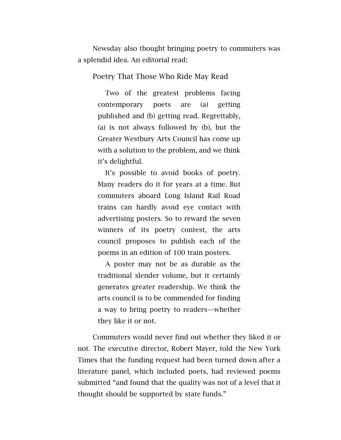Newsday also thought bringing poetry to commuters was a splendid idea. An editorial read:

## Poetry That Those Who Ride May Read

Two of the greatest problems facing contemporary poets are (a) getting published and (b) getting read. Regrettably, (a) is not always followed by (b), but the Greater Westbury Arts Council has come up with a solution to the problem, and we think it's delightful.

It's possible to avoid books of poetry. Many readers do it for years at a time. But commuters aboard Long Island Rail Road trains can hardly avoid eye contact with advertising posters. So to reward the seven winners of its poetry contest, the arts council proposes to publish each of the poems in an edition of 100 train posters.

A poster may not be as durable as the traditional slender volume, but it certainly generates greater readership. We think the arts council is to be commended for finding a way to bring poetry to readers—whether they like it or not.

Commuters would never find out whether they liked it or not. The executive director, Robert Mayer, told the New York Times that the funding request had been turned down after a literature panel, which included poets, had reviewed poems submitted "and found that the quality was not of a level that it thought should be supported by state funds."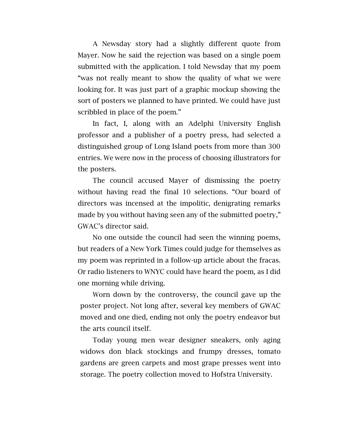A Newsday story had a slightly different quote from Mayer. Now he said the rejection was based on a single poem submitted with the application. I told Newsday that my poem "was not really meant to show the quality of what we were looking for. It was just part of a graphic mockup showing the sort of posters we planned to have printed. We could have just scribbled in place of the poem."

In fact, I, along with an Adelphi University English professor and a publisher of a poetry press, had selected a distinguished group of Long Island poets from more than 300 entries. We were now in the process of choosing illustrators for the posters.

The council accused Mayer of dismissing the poetry without having read the final 10 selections. "Our board of directors was incensed at the impolitic, denigrating remarks made by you without having seen any of the submitted poetry," GWAC's director said.

No one outside the council had seen the winning poems, but readers of a New York Times could judge for themselves as my poem was reprinted in a follow-up article about the fracas. Or radio listeners to WNYC could have heard the poem, as I did one morning while driving.

Worn down by the controversy, the council gave up the poster project. Not long after, several key members of GWAC moved and one died, ending not only the poetry endeavor but the arts council itself.

Today young men wear designer sneakers, only aging widows don black stockings and frumpy dresses, tomato gardens are green carpets and most grape presses went into storage. The poetry collection moved to Hofstra University.